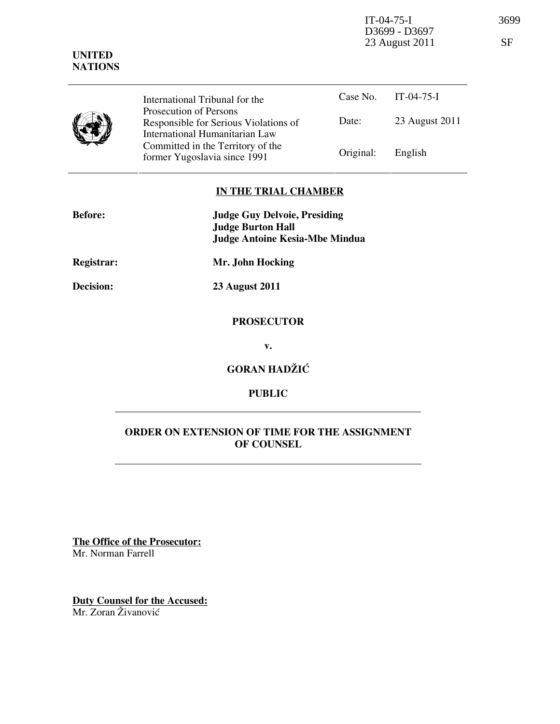IT-04-75-I 3699 D3699 - D3697 23 August 2011 SF

| . <i>.</i><br><b>NATIONS</b> |                                                                                                                                                                                                          |           |                |
|------------------------------|----------------------------------------------------------------------------------------------------------------------------------------------------------------------------------------------------------|-----------|----------------|
|                              | International Tribunal for the<br>Prosecution of Persons<br>Responsible for Serious Violations of<br>International Humanitarian Law<br>Committed in the Territory of the<br>former Yugoslavia since 1991 | Case No.  | $IT-04-75-I$   |
|                              |                                                                                                                                                                                                          | Date:     | 23 August 2011 |
|                              |                                                                                                                                                                                                          | Original: | English        |

## IN THE TRIAL CHAMBER

| <b>Before:</b>    | <b>Judge Guy Delvoie, Presiding</b><br><b>Judge Burton Hall</b><br><b>Judge Antoine Kesia-Mbe Mindua</b> |
|-------------------|----------------------------------------------------------------------------------------------------------|
| <b>Registrar:</b> | Mr. John Hocking                                                                                         |
| <b>Decision:</b>  | <b>23 August 2011</b>                                                                                    |
|                   | <b>PROSECUTOR</b>                                                                                        |

v.

GORAN HADŽIĆ

## PUBLIC

## ORDER ON EXTENSION OF TIME FOR THE ASSIGNMENT OF COUNSEL

The Office of the Prosecutor: Mr. Norman Farrell

Duty Counsel for the Accused: Mr. Zoran Živanović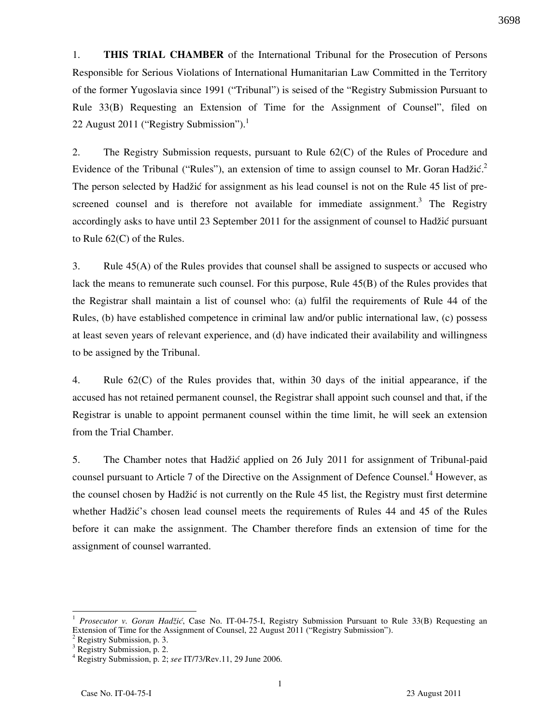1. THIS TRIAL CHAMBER of the International Tribunal for the Prosecution of Persons Responsible for Serious Violations of International Humanitarian Law Committed in the Territory of the former Yugoslavia since 1991 ("Tribunal") is seised of the "Registry Submission Pursuant to Rule 33(B) Requesting an Extension of Time for the Assignment of Counsel", filed on 22 August 2011 ("Registry Submission").

2. The Registry Submission requests, pursuant to Rule 62(C) of the Rules of Procedure and Evidence of the Tribunal ("Rules"), an extension of time to assign counsel to Mr. Goran Hadžić.<sup>2</sup> The person selected by Hadžić for assignment as his lead counsel is not on the Rule 45 list of prescreened counsel and is therefore not available for immediate assignment.<sup>3</sup> The Registry accordingly asks to have until 23 September 2011 for the assignment of counsel to Hadžić pursuant to Rule 62(C) of the Rules.

3. Rule 45(A) of the Rules provides that counsel shall be assigned to suspects or accused who lack the means to remunerate such counsel. For this purpose, Rule 45(B) of the Rules provides that the Registrar shall maintain a list of counsel who: (a) fulfil the requirements of Rule 44 of the Rules, (b) have established competence in criminal law and/or public international law, (c) possess at least seven years of relevant experience, and (d) have indicated their availability and willingness to be assigned by the Tribunal.

4. Rule 62(C) of the Rules provides that, within 30 days of the initial appearance, if the accused has not retained permanent counsel, the Registrar shall appoint such counsel and that, if the Registrar is unable to appoint permanent counsel within the time limit, he will seek an extension from the Trial Chamber.

5. The Chamber notes that Hadžić applied on 26 July 2011 for assignment of Tribunal-paid counsel pursuant to Article 7 of the Directive on the Assignment of Defence Counsel.<sup>4</sup> However, as the counsel chosen by Hadžić is not currently on the Rule 45 list, the Registry must first determine whether Hadžić's chosen lead counsel meets the requirements of Rules 44 and 45 of the Rules before it can make the assignment. The Chamber therefore finds an extension of time for the assignment of counsel warranted.

3698

<sup>1</sup> Prosecutor v. Goran Hadžić, Case No. IT-04-75-I, Registry Submission Pursuant to Rule 33(B) Requesting an Extension of Time for the Assignment of Counsel, 22 August 2011 ("Registry Submission").

Registry Submission, p. 3.

<sup>&</sup>lt;sup>3</sup> Registry Submission, p. 2.

<sup>&</sup>lt;sup>4</sup> Registry Submission, p. 2; see IT/73/Rev.11, 29 June 2006.